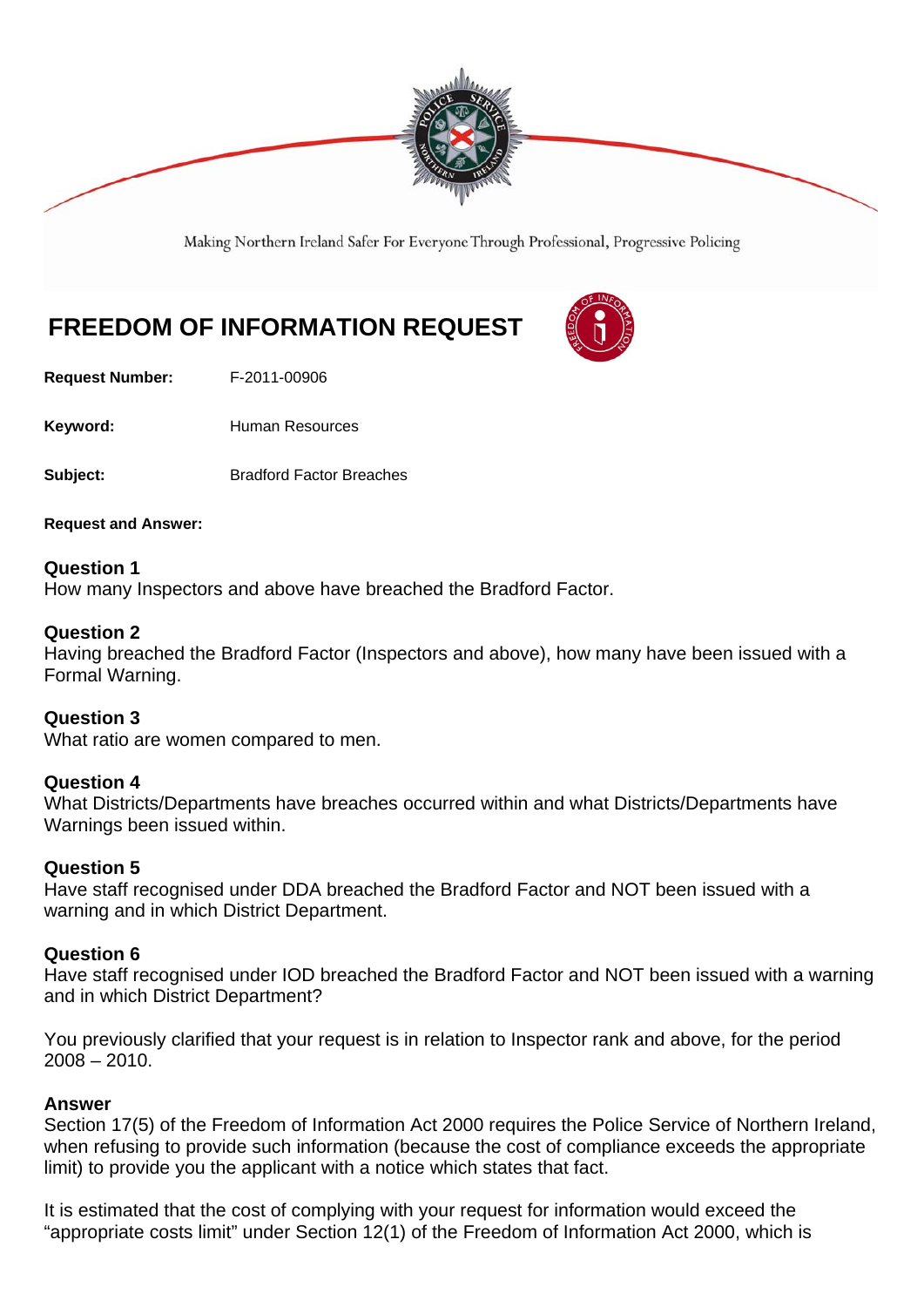

Making Northern Ireland Safer For Everyone Through Professional, Progressive Policing

# **FREEDOM OF INFORMATION REQUEST**

**Request Number:** F-2011-00906

Keyword: **Human Resources** 

**Subject:** Bradford Factor Breaches

**Request and Answer:** 

## **Question 1**

How many Inspectors and above have breached the Bradford Factor.

### **Question 2**

Having breached the Bradford Factor (Inspectors and above), how many have been issued with a Formal Warning.

**Question 3**  What ratio are women compared to men.

#### **Question 4**

What Districts/Departments have breaches occurred within and what Districts/Departments have Warnings been issued within.

## **Question 5**

Have staff recognised under DDA breached the Bradford Factor and NOT been issued with a warning and in which District Department.

#### **Question 6**

Have staff recognised under IOD breached the Bradford Factor and NOT been issued with a warning and in which District Department?

You previously clarified that your request is in relation to Inspector rank and above, for the period 2008 – 2010.

#### **Answer**

Section 17(5) of the Freedom of Information Act 2000 requires the Police Service of Northern Ireland, when refusing to provide such information (because the cost of compliance exceeds the appropriate limit) to provide you the applicant with a notice which states that fact.

It is estimated that the cost of complying with your request for information would exceed the "appropriate costs limit" under Section 12(1) of the Freedom of Information Act 2000, which is